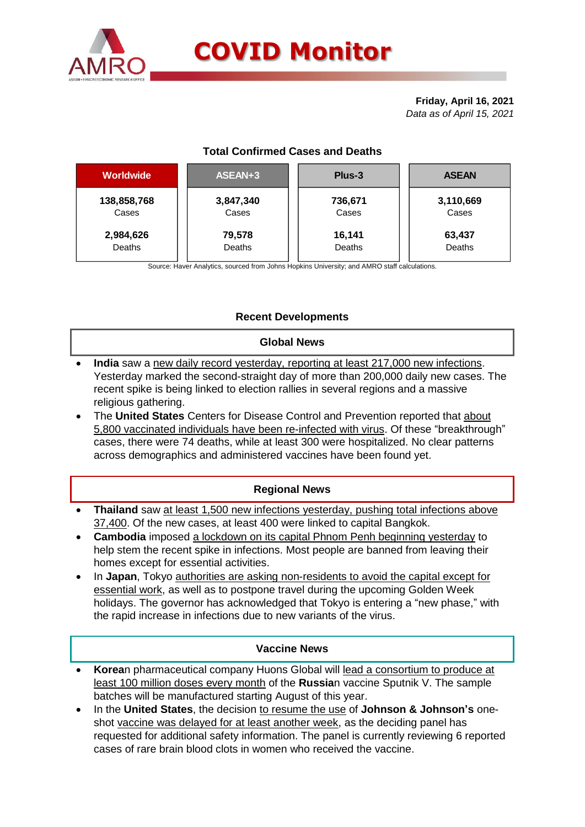

# **COVID Monitor**

**Friday, April 16, 2021** *Data as of April 15, 2021*

## **Total Confirmed Cases and Deaths**

| <b>Worldwide</b> | ASEAN+3   | Plus-3  | <b>ASEAN</b> |  |  |
|------------------|-----------|---------|--------------|--|--|
| 138,858,768      | 3,847,340 | 736,671 | 3,110,669    |  |  |
| Cases            | Cases     | Cases   | Cases        |  |  |
| 2,984,626        | 79,578    | 16,141  | 63,437       |  |  |
| Deaths           | Deaths    | Deaths  | Deaths       |  |  |
|                  |           |         |              |  |  |

Source: Haver Analytics, sourced from Johns Hopkins University; and AMRO staff calculations.

## **Recent Developments**

#### **Global News**

- **India** saw a new daily record yesterday, reporting at least 217,000 new infections. Yesterday marked the second-straight day of more than 200,000 daily new cases. The recent spike is being linked to election rallies in several regions and a massive religious gathering.
- The **United States** Centers for Disease Control and Prevention reported that about 5,800 vaccinated individuals have been re-infected with virus. Of these "breakthrough" cases, there were 74 deaths, while at least 300 were hospitalized. No clear patterns across demographics and administered vaccines have been found yet.

#### **Regional News**

- **Thailand** saw at least 1,500 new infections yesterday, pushing total infections above 37,400. Of the new cases, at least 400 were linked to capital Bangkok.
- **Cambodia** imposed a lockdown on its capital Phnom Penh beginning yesterday to help stem the recent spike in infections. Most people are banned from leaving their homes except for essential activities.
- In **Japan**, Tokyo authorities are asking non-residents to avoid the capital except for essential work, as well as to postpone travel during the upcoming Golden Week holidays. The governor has acknowledged that Tokyo is entering a "new phase," with the rapid increase in infections due to new variants of the virus.

#### **Vaccine News**

- **Korea**n pharmaceutical company Huons Global will lead a consortium to produce at least 100 million doses every month of the **Russia**n vaccine Sputnik V. The sample batches will be manufactured starting August of this year.
- In the **United States**, the decision to resume the use of **Johnson & Johnson's** oneshot vaccine was delayed for at least another week, as the deciding panel has requested for additional safety information. The panel is currently reviewing 6 reported cases of rare brain blood clots in women who received the vaccine.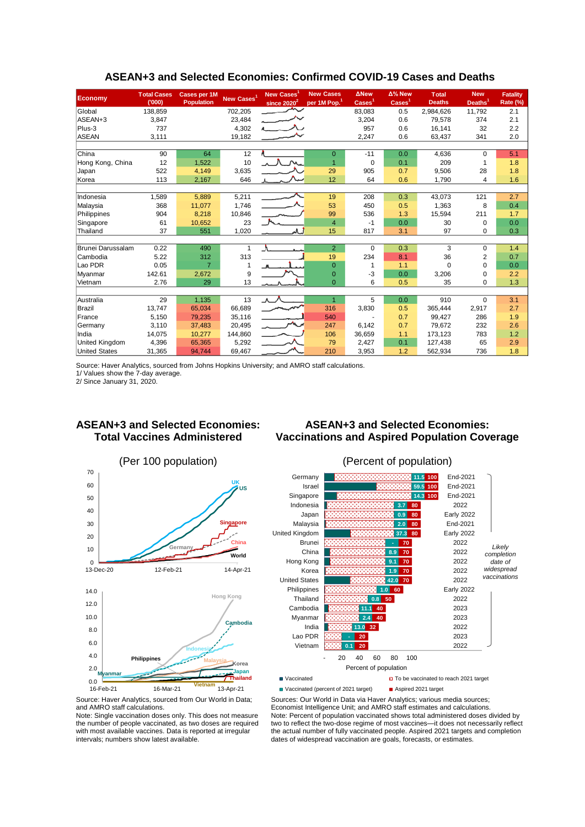| <b>Economy</b>                         | <b>Total Cases</b><br>(000) | Cases per 1M<br>Population | New Cases <sup>1</sup> | New Cases<br>since $2020^2$ | <b>New Cases</b><br>per 1M Pop. <sup>1</sup> | <b>ANew</b><br>$\text{Case}^1$ | $\Delta$ % New<br>$\overline{\text{Cases}}^1$ | <b>Total</b><br><b>Deaths</b> | <b>New</b><br>Deaths <sup>1</sup> | <b>Fatality</b><br>Rate (%) |  |
|----------------------------------------|-----------------------------|----------------------------|------------------------|-----------------------------|----------------------------------------------|--------------------------------|-----------------------------------------------|-------------------------------|-----------------------------------|-----------------------------|--|
| Global                                 | 138,859                     |                            | 702,205                |                             |                                              | 83,083                         | 0.5                                           | 2,984,626                     | 11,792                            | 2.1                         |  |
| ASEAN+3                                | 3,847                       |                            | 23,484                 |                             |                                              | 3,204                          | 0.6                                           | 79,578                        | 374                               | 2.1                         |  |
| Plus-3                                 | 737                         |                            | 4,302                  |                             |                                              | 957                            | 0.6                                           | 16.141                        | 32                                | 2.2                         |  |
| <b>ASEAN</b>                           | 3,111                       |                            | 19,182                 |                             |                                              | 2,247                          | 0.6                                           | 63,437                        | 341                               | 2.0                         |  |
|                                        |                             |                            |                        |                             |                                              |                                |                                               |                               |                                   |                             |  |
| China                                  | 90                          | 64                         | 12                     |                             | $\Omega$                                     | $-11$                          | 0.0                                           | 4,636                         | $\Omega$                          | 5.1                         |  |
| Hong Kong, China                       | 12                          | 1,522                      | 10                     |                             | $\overline{1}$                               | 0                              | 0.1                                           | 209                           | $\mathbf 1$                       | 1.8                         |  |
| Japan                                  | 522                         | 4.149                      | 3,635                  |                             | 29                                           | 905                            | 0.7                                           | 9,506                         | 28                                | 1.8                         |  |
| Korea                                  | 113                         | 2,167                      | 646                    |                             | 12                                           | 64                             | 0.6                                           | 1,790                         | 4                                 | 1.6                         |  |
|                                        |                             |                            |                        |                             |                                              |                                |                                               |                               |                                   |                             |  |
| Indonesia                              | 1,589                       | 5,889                      | 5,211                  |                             | 19                                           | 208                            | 0.3                                           | 43,073                        | 121                               | 2.7                         |  |
| Malaysia                               | 368                         | 11,077                     | 1.746                  |                             | 53                                           | 450                            | 0.5                                           | 1,363                         | 8                                 | 0.4                         |  |
| Philippines                            | 904                         | 8,218                      | 10,846                 |                             | 99                                           | 536                            | 1.3                                           | 15,594                        | 211                               | 1.7                         |  |
| Singapore                              | 61                          | 10,652                     | 23                     |                             | $\overline{4}$                               | $-1$                           | 0.0                                           | 30                            | $\mathbf 0$                       | 0.0                         |  |
| Thailand                               | 37                          | 551                        | 1,020                  |                             | 15                                           | 817                            | 3.1                                           | 97                            | $\mathbf 0$                       | 0.3                         |  |
|                                        |                             |                            |                        |                             |                                              |                                |                                               |                               |                                   |                             |  |
| Brunei Darussalam                      | 0.22                        | 490                        | 1                      |                             | $\overline{2}$                               | 0                              | 0.3                                           | 3                             | 0                                 | 1.4                         |  |
| Cambodia                               | 5.22                        | 312                        | 313                    |                             | 19                                           | 234                            | 8.1                                           | 36                            | $\overline{2}$                    | 0.7                         |  |
| Lao PDR                                | 0.05                        | $\overline{7}$             | 1                      |                             | $\overline{0}$                               | 1                              | 1.1                                           | $\Omega$                      | $\Omega$                          | 0.0                         |  |
| Myanmar                                | 142.61                      | 2,672                      | 9                      |                             | $\mathbf{0}$                                 | -3                             | 0.0                                           | 3,206                         | 0                                 | 2.2                         |  |
| Vietnam                                | 2.76                        | 29                         | 13                     |                             | $\Omega$                                     | 6                              | 0.5                                           | 35                            | $\Omega$                          | 1.3                         |  |
|                                        |                             |                            |                        |                             | $\overline{1}$                               |                                |                                               |                               |                                   |                             |  |
| Australia                              | 29                          | 1,135                      | 13                     | $\Lambda$                   |                                              | 5                              | 0.0                                           | 910                           | $\Omega$                          | 3.1                         |  |
| Brazil                                 | 13,747                      | 65,034                     | 66,689                 |                             | 316                                          | 3,830                          | 0.5                                           | 365,444                       | 2,917<br>286                      | 2.7                         |  |
| France<br>Germany                      | 5,150<br>3,110              | 79,235<br>37,483           | 35,116<br>20.495       | $\overline{\phantom{a}}$    | 540<br>247                                   | 6.142                          | 0.7<br>0.7                                    | 99,427<br>79.672              | 232                               | 1.9<br>2.6                  |  |
| India                                  |                             | 10,277                     |                        |                             | 106                                          |                                |                                               |                               | 783                               | 1.2                         |  |
|                                        | 14,075                      |                            | 144,860                |                             | 79                                           | 36,659                         | 1.1<br>0.1                                    | 173,123<br>127.438            | 65                                | 2.9                         |  |
| United Kingdom<br><b>United States</b> | 4,396<br>31,365             | 65,365<br>94,744           | 5,292                  |                             | 210                                          | 2,427<br>3,953                 | 1.2                                           | 562,934                       | 736                               | 1.8                         |  |
|                                        |                             |                            | 69,467                 |                             |                                              |                                |                                               |                               |                                   |                             |  |

#### **ASEAN+3 and Selected Economies: Confirmed COVID-19 Cases and Deaths**

Source: Haver Analytics, sourced from Johns Hopkins University; and AMRO staff calculations.

1/ Values show the 7-day average.

2/ Since January 31, 2020.

#### **ASEAN+3 and Selected Economies: Total Vaccines Administered**

## **ASEAN+3 and Selected Economies: Vaccinations and Aspired Population Coverage**







Source: Haver Analytics, sourced from Our World in Data; and AMRO staff calculations.

Note: Single vaccination doses only. This does not measure the number of people vaccinated, as two doses are required with most available vaccines. Data is reported at irregular intervals; numbers show latest available.

Sources: Our World in Data via Haver Analytics; various media sources; Economist Intelligence Unit; and AMRO staff estimates and calculations. Note: Percent of population vaccinated shows total administered doses divided by two to reflect the two-dose regime of most vaccines—it does not necessarily reflect the actual number of fully vaccinated people. Aspired 2021 targets and completion dates of widespread vaccination are goals, forecasts, or estimates.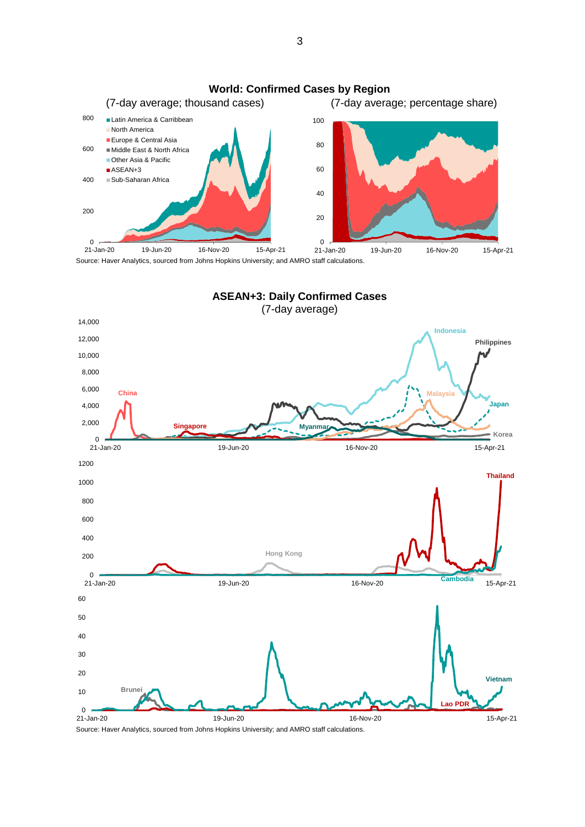

Source: Haver Analytics, sourced from Johns Hopkins University; and AMRO staff calculations.



Source: Haver Analytics, sourced from Johns Hopkins University; and AMRO staff calculations.

3